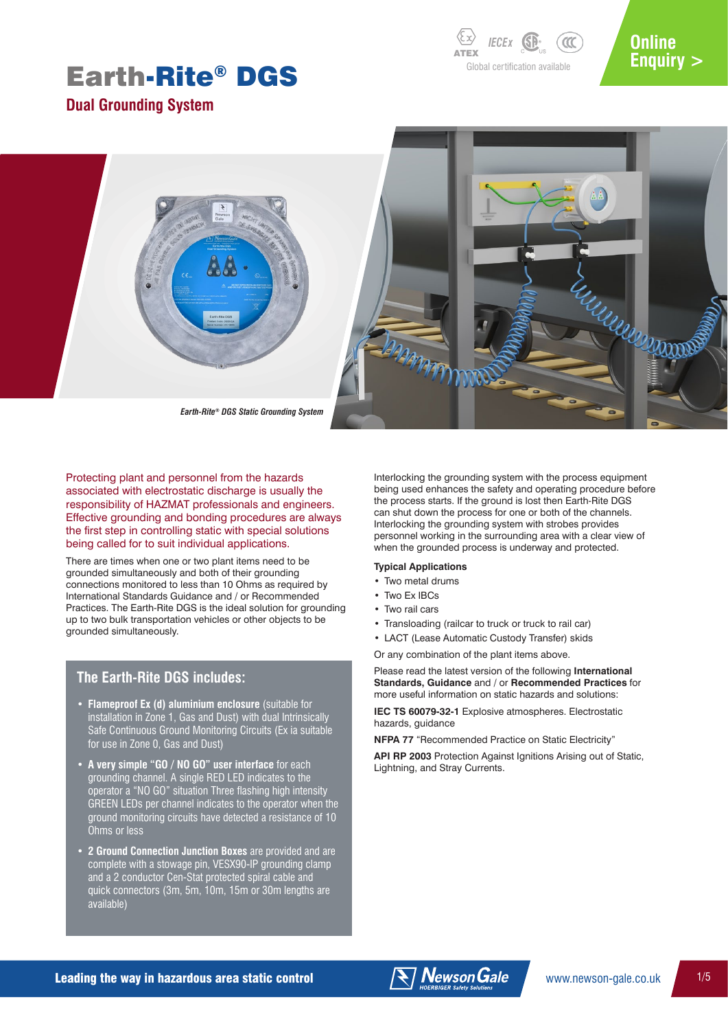*IECEX* SP<sub>2</sub> *CCC* ATEX Global certification available

# **Online [Enquiry >](http://www.newson-gale.co.uk/product-enquiry-earth-rite-dgs/)**

**Dual Grounding System**



Protecting plant and personnel from the hazards associated with electrostatic discharge is usually the responsibility of HAZMAT professionals and engineers. Effective grounding and bonding procedures are always the first step in controlling static with special solutions being called for to suit individual applications.

There are times when one or two plant items need to be grounded simultaneously and both of their grounding connections monitored to less than 10 Ohms as required by International Standards Guidance and / or Recommended Practices. The Earth-Rite DGS is the ideal solution for grounding up to two bulk transportation vehicles or other objects to be grounded simultaneously.

### **The Earth-Rite DGS includes:**

- **Flameproof Ex (d) aluminium enclosure** (suitable for installation in Zone 1, Gas and Dust) with dual Intrinsically Safe Continuous Ground Monitoring Circuits (Ex ia suitable for use in Zone 0, Gas and Dust)
- **A very simple "GO / NO GO" user interface** for each grounding channel. A single RED LED indicates to the operator a "NO GO" situation Three flashing high intensity GREEN LEDs per channel indicates to the operator when the ground monitoring circuits have detected a resistance of 10 Ohms or less
- **2 Ground Connection Junction Boxes** are provided and are complete with a stowage pin, VESX90-IP grounding clamp and a 2 conductor Cen-Stat protected spiral cable and quick connectors (3m, 5m, 10m, 15m or 30m lengths are available)

Interlocking the grounding system with the process equipment being used enhances the safety and operating procedure before the process starts. If the ground is lost then Earth-Rite DGS can shut down the process for one or both of the channels. Interlocking the grounding system with strobes provides personnel working in the surrounding area with a clear view of when the grounded process is underway and protected.

### **Typical Applications**

- Two metal drums
- Two Ex IBCs
- Two rail cars
- Transloading (railcar to truck or truck to rail car)
- LACT (Lease Automatic Custody Transfer) skids

Or any combination of the plant items above.

Please read the latest version of the following **International Standards, Guidance** and / or **Recommended Practices** for more useful information on static hazards and solutions:

**IEC TS 60079-32-1** Explosive atmospheres. Electrostatic hazards, guidance

**NFPA 77** "Recommended Practice on Static Electricity"

**API RP 2003** Protection Against Ignitions Arising out of Static, Lightning, and Stray Currents.

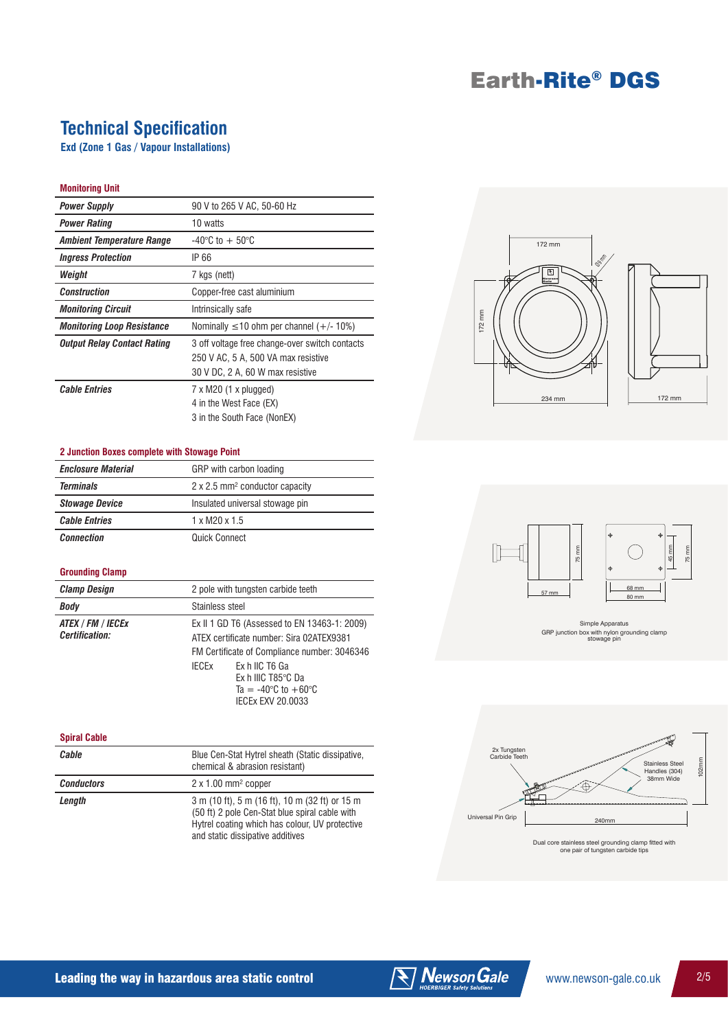# **Technical Specification**

**Exd (Zone 1 Gas / Vapour Installations)**

### **Monitoring Unit**

| <b>Power Supply</b>               | 90 V to 265 V AC, 50-60 Hz                                                                                                |
|-----------------------------------|---------------------------------------------------------------------------------------------------------------------------|
| <b>Power Rating</b>               | 10 watts                                                                                                                  |
| Ambient Temperature Range         | $-40^{\circ}$ C to $+50^{\circ}$ C                                                                                        |
| <b>Ingress Protection</b>         | IP 66                                                                                                                     |
| Weight                            | 7 kgs (nett)                                                                                                              |
| <b>Construction</b>               | Copper-free cast aluminium                                                                                                |
| <b>Monitoring Circuit</b>         | Intrinsically safe                                                                                                        |
| <b>Monitoring Loop Resistance</b> | Nominally $\leq 10$ ohm per channel (+/- 10%)                                                                             |
| Output Relay Contact Rating       | 3 off voltage free change-over switch contacts<br>250 V AC, 5 A, 500 VA max resistive<br>30 V DC, 2 A, 60 W max resistive |
| <b>Cable Entries</b>              | 7 x M20 (1 x plugged)<br>4 in the West Face (EX)<br>3 in the South Face (NonEX)                                           |

#### **2 Junction Boxes complete with Stowage Point**

| - Cancelon Doxco Completo Milli Stonage I chii |                                            |  |
|------------------------------------------------|--------------------------------------------|--|
| <b>Enclosure Material</b>                      | GRP with carbon loading                    |  |
| <b>Terminals</b>                               | 2 x 2.5 mm <sup>2</sup> conductor capacity |  |
| <b>Stowage Device</b>                          | Insulated universal stowage pin            |  |
| <b>Cable Entries</b>                           | $1 \times M$ 20 $\times 1.5$               |  |
| <b>Connection</b>                              | Quick Connect                              |  |

### **Grounding Clamp**

| <b>Clamp Design</b>                 | 2 pole with tungsten carbide teeth                                                                                                                                                                                                                               |
|-------------------------------------|------------------------------------------------------------------------------------------------------------------------------------------------------------------------------------------------------------------------------------------------------------------|
| Body                                | Stainless steel                                                                                                                                                                                                                                                  |
| ATEX / FM / IECEx<br>Certification: | Ex II 1 GD T6 (Assessed to EN 13463-1: 2009)<br>ATEX certificate number: Sira 02ATEX9381<br>FM Certificate of Compliance number: 3046346<br>Ex h IIC T6 Ga<br>IFCFx<br>Ex h IIIC T85°C Da<br>Ta = $-40^{\circ}$ C to $+60^{\circ}$ C<br><b>IECEX EXV 20.0033</b> |

#### **Spiral Cable**

| Cable             | Blue Cen-Stat Hytrel sheath (Static dissipative,<br>chemical & abrasion resistant)                                                                                                     |
|-------------------|----------------------------------------------------------------------------------------------------------------------------------------------------------------------------------------|
| <b>Conductors</b> | $2 \times 1.00$ mm <sup>2</sup> copper                                                                                                                                                 |
| Length            | 3 m (10 ft), 5 m (16 ft), 10 m (32 ft) or 15 m<br>(50 ft) 2 pole Cen-Stat blue spiral cable with<br>Hytrel coating which has colour, UV protective<br>and static dissipative additives |





Simple Apparatus GRP junction box with nylon grounding clamp stowage pin



Dual core stainless steel grounding clamp fitted with one pair of tungsten carbide tips



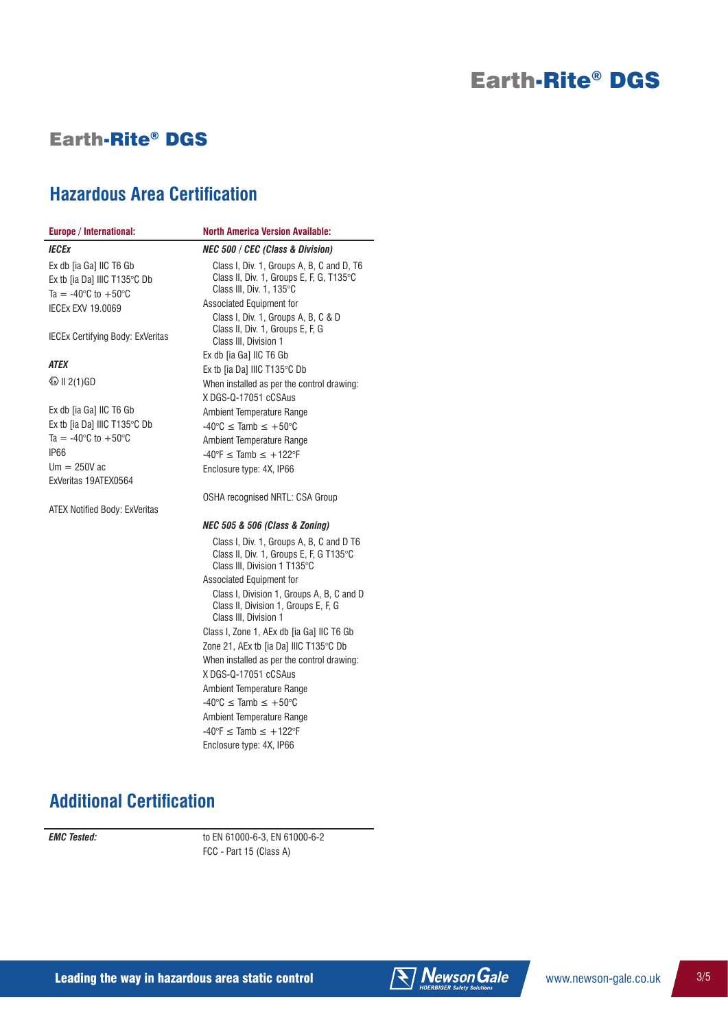## Earth-Rite® DGS

*IECEx*

*ATEX*

IP66

## **Hazardous Area Certification**

#### **Europe / International: North America Version Available:** Ex db [ia Ga] IIC T6 Gb Ex tb [ia Da] IIIC T135°C Db Ta =  $-40^{\circ}$ C to  $+50^{\circ}$ C IECEx EXV 19.0069 IECEx Certifying Body: ExVeritas  $\textcircled{k}$  II 2(1)GD Ex db [ia Ga] IIC T6 Gb Ex tb [ia Da] IIIC T135°C Db Ta =  $-40^{\circ}$ C to  $+50^{\circ}$ C  $Um = 250V$  ac ExVeritas 19ATEX0564 ATEX Notified Body: ExVeritas *NEC 500 / CEC (Class & Division)* Class I, Div. 1, Groups A, B, C and D, T6 Class II, Div. 1, Groups E, F, G, T135°C Class III, Div. 1, 135°C Associated Equipment for Class I, Div. 1, Groups A, B, C & D Class II, Div. 1, Groups E, F, G Class III, Division 1 Ex db [ia Ga] IIC T6 Gb Ex tb [ia Da] IIIC T135°C Db When installed as per the control drawing: X DGS-Q-17051 cCSAus Ambient Temperature Range  $-40^{\circ}$ C  $\leq$  Tamb  $\leq +50^{\circ}$ C Ambient Temperature Range  $-40^{\circ}F \leq$  Tamb  $\leq +122^{\circ}F$ Enclosure type: 4X, IP66 OSHA recognised NRTL: CSA Group *NEC 505 & 506 (Class & Zoning)* Class I, Div. 1, Groups A, B, C and D T6 Class II, Div. 1, Groups E, F, G T135°C Class III, Division 1 T135°C Associated Equipment for Class I, Division 1, Groups A, B, C and D Class II, Division 1, Groups E, F, G Class III, Division 1 Class I, Zone 1, AEx db [ia Ga] IIC T6 Gb Zone 21, AEx tb [ia Da] IIIC T135°C Db When installed as per the control drawing: X DGS-Q-17051 cCSAus

Ambient Temperature Range  $-40^{\circ}$ C  $\leq$  Tamb  $\leq +50^{\circ}$ C Ambient Temperature Range  $-40^{\circ}F \leq$  Tamb  $\leq +122^{\circ}F$ Enclosure type: 4X, IP66

# **Additional Certification**

*EMC Tested:* to EN 61000-6-3, EN 61000-6-2 FCC - Part 15 (Class A)

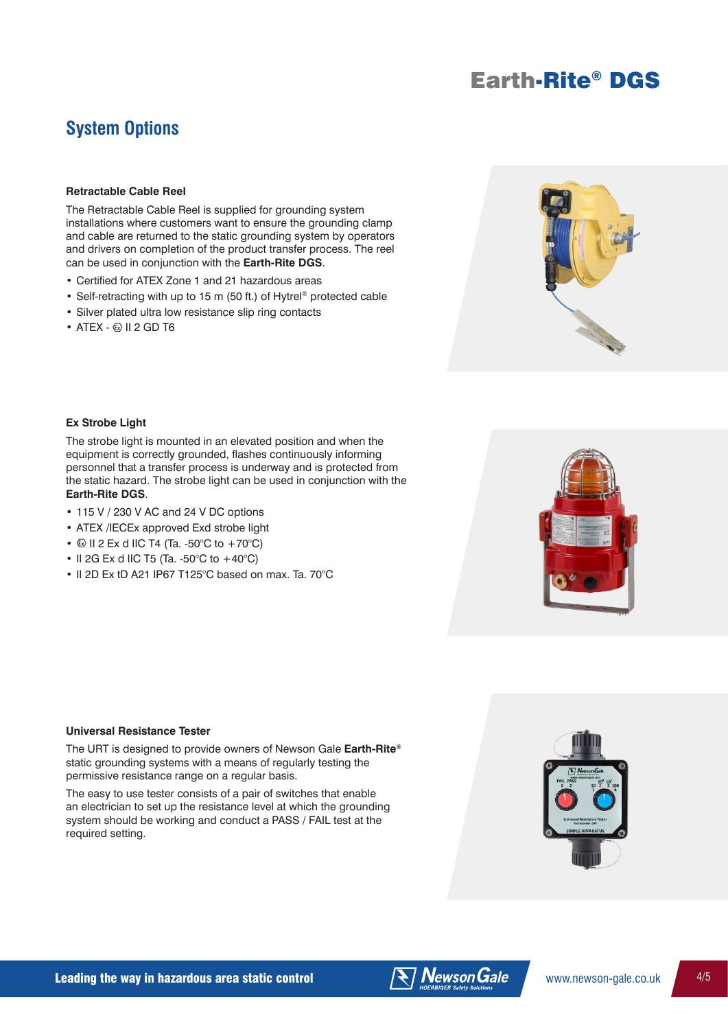## **System Options**

### **Retractable Cable Reel**

The Retractable Cable Reel is supplied for grounding system installations where customers want to ensure the grounding clamp and cable are returned to the static grounding system by operators and drivers on completion of the product transfer process. The reel can be used in conjunction with the **Earth-Rite DGS**.

- Certified for ATEX Zone 1 and 21 hazardous areas
- Self-retracting with up to 15 m (50 ft.) of Hytrel® protected cable
- Silver plated ultra low resistance slip ring contacts
- $\bullet$  ATEX  $\textcircled{\tiny{\textcircled{\tiny{W}}}}$  II 2 GD T6



### **Ex Strobe Light**

The strobe light is mounted in an elevated position and when the equipment is correctly grounded, flashes continuously informing personnel that a transfer process is underway and is protected from the static hazard. The strobe light can be used in conjunction with the **Earth-Rite DGS**.

- 115 V / 230 V AC and 24 V DC options
- ATEX /IECEx approved Exd strobe light
- $\textcircled{\tiny{1}}$  II 2 Ex d IIC T4 (Ta. -50°C to +70°C)
- II 2G Ex d IIC T5 (Ta. -50°C to  $+40^{\circ}$ C)
- II 2D Ex tD A21 IP67 T125°C based on max. Ta. 70°C



### **Universal Resistance Tester**

The URT is designed to provide owners of Newson Gale **Earth-Rite®** static grounding systems with a means of regularly testing the permissive resistance range on a regular basis.

The easy to use tester consists of a pair of switches that enable an electrician to set up the resistance level at which the grounding system should be working and conduct a PASS / FAIL test at the required setting.